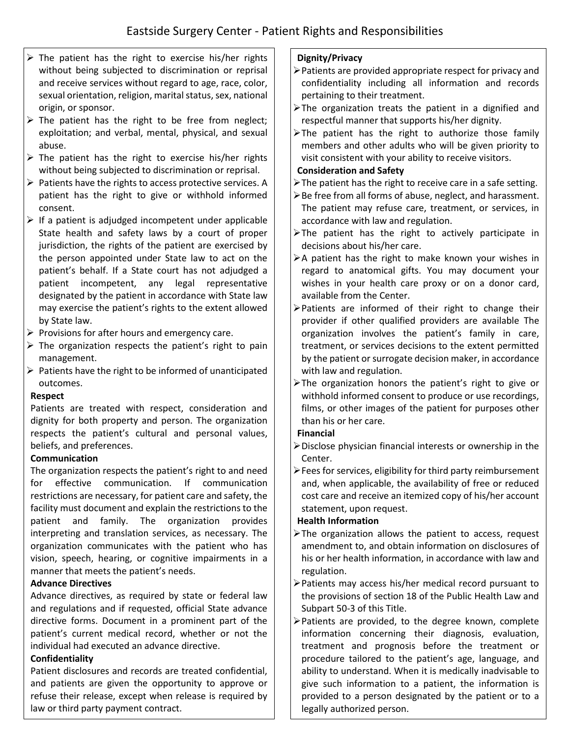- $\triangleright$  The patient has the right to exercise his/her rights without being subjected to discrimination or reprisal and receive services without regard to age, race, color, sexual orientation, religion, marital status, sex, national origin, or sponsor.
- $\triangleright$  The patient has the right to be free from neglect; exploitation; and verbal, mental, physical, and sexual abuse.
- $\triangleright$  The patient has the right to exercise his/her rights without being subjected to discrimination or reprisal.
- $\triangleright$  Patients have the rights to access protective services. A patient has the right to give or withhold informed consent.
- $\triangleright$  If a patient is adjudged incompetent under applicable State health and safety laws by a court of proper jurisdiction, the rights of the patient are exercised by the person appointed under State law to act on the patient's behalf. If a State court has not adjudged a patient incompetent, any legal representative designated by the patient in accordance with State law may exercise the patient's rights to the extent allowed by State law.
- $\triangleright$  Provisions for after hours and emergency care.
- $\triangleright$  The organization respects the patient's right to pain management.
- $\triangleright$  Patients have the right to be informed of unanticipated outcomes.

#### **Respect**

Patients are treated with respect, consideration and dignity for both property and person. The organization respects the patient's cultural and personal values, beliefs, and preferences.

#### **Communication**

The organization respects the patient's right to and need for effective communication. If communication restrictions are necessary, for patient care and safety, the facility must document and explain the restrictions to the patient and family. The organization provides interpreting and translation services, as necessary. The organization communicates with the patient who has vision, speech, hearing, or cognitive impairments in a manner that meets the patient's needs.

# **Advance Directives**

Advance directives, as required by state or federal law and regulations and if requested, official State advance directive forms. Document in a prominent part of the patient's current medical record, whether or not the individual had executed an advance directive.

# **Confidentiality**

Patient disclosures and records are treated confidential, and patients are given the opportunity to approve or refuse their release, except when release is required by law or third party payment contract.

## **Dignity/Privacy**

- Patients are provided appropriate respect for privacy and confidentiality including all information and records pertaining to their treatment.
- $\triangleright$ The organization treats the patient in a dignified and respectful manner that supports his/her dignity.
- $\triangleright$ The patient has the right to authorize those family members and other adults who will be given priority to visit consistent with your ability to receive visitors.

### **Consideration and Safety**

- $\triangleright$  The patient has the right to receive care in a safe setting.
- $\triangleright$  Be free from all forms of abuse, neglect, and harassment. The patient may refuse care, treatment, or services, in accordance with law and regulation.
- $\triangleright$ The patient has the right to actively participate in decisions about his/her care.
- $\geq$ A patient has the right to make known your wishes in regard to anatomical gifts. You may document your wishes in your health care proxy or on a donor card, available from the Center.
- Patients are informed of their right to change their provider if other qualified providers are available The organization involves the patient's family in care, treatment, or services decisions to the extent permitted by the patient or surrogate decision maker, in accordance with law and regulation.
- > The organization honors the patient's right to give or withhold informed consent to produce or use recordings, films, or other images of the patient for purposes other than his or her care.

# **Financial**

- Disclose physician financial interests or ownership in the Center.
- Fees for services, eligibility for third party reimbursement and, when applicable, the availability of free or reduced cost care and receive an itemized copy of his/her account statement, upon request.

# **Health Information**

- $\triangleright$ The organization allows the patient to access, request amendment to, and obtain information on disclosures of his or her health information, in accordance with law and regulation.
- Patients may access his/her medical record pursuant to the provisions of section 18 of the Public Health Law and Subpart 50-3 of this Title.
- Patients are provided, to the degree known, complete information concerning their diagnosis, evaluation, treatment and prognosis before the treatment or procedure tailored to the patient's age, language, and ability to understand. When it is medically inadvisable to give such information to a patient, the information is provided to a person designated by the patient or to a legally authorized person.